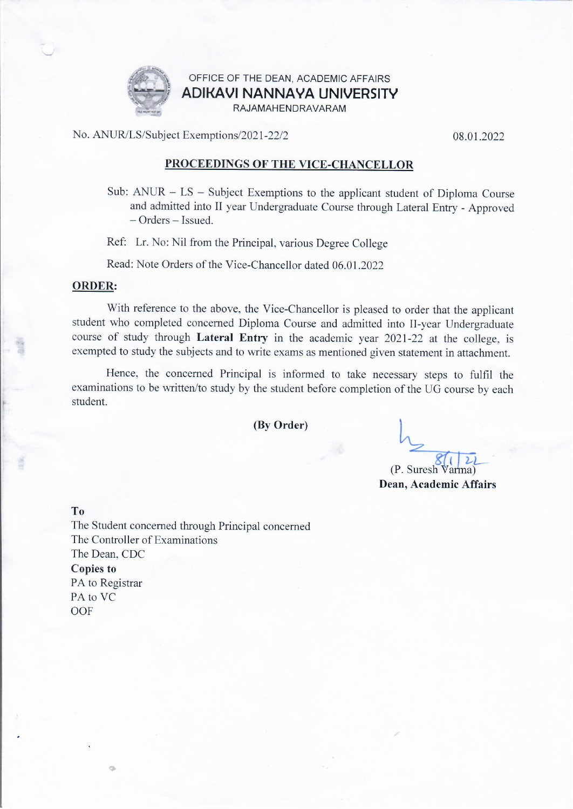

## OFFICE OF THE DEAN, ACADEMIC AFFAIRS ADIKAVI NANNAYA UNIVERSITY RAJAMAHENDRAVARAM

No. ANUR/LS/Subject Exemptions/2021-22/2

08.01.2022

## PROCEEDINGS OF THE VICE-CHANCELLOR

Sub:  $ANUR - LS -$  Subject Exemptions to the applicant student of Diploma Course and admitted into II year Undergraduate Course through Lateral Entry - Approved - Orders - Issued.

Ref: Lr. No: Nil from the Principal, various Degree College

Read: Note Orders of the Vice-Chancellor dated 06.01.2022

## **ORDER:**

With reference to the above, the Vice-Chancellor is pleased to order that the applicant student who completed concerned Diploma Course and admitted into II-year Undergraduate course of study through Lateral Entry in the academic year 2021-22 at the college, is exempted to study the subjects and to write exams as mentioned given statement in attachment.

Hence, the concerned Principal is informed to take necessary steps to fulfil the examinations to be written/to study by the student before completion of the UG course by each student.

(By Order)

(P. Suresh Varma) Dean, Academic Affairs

T<sub>o</sub>

 $\alpha$ 

The Student concerned through Principal concerned The Controller of Examinations The Dean, CDC **Copies to** PA to Registrar PA to VC OOF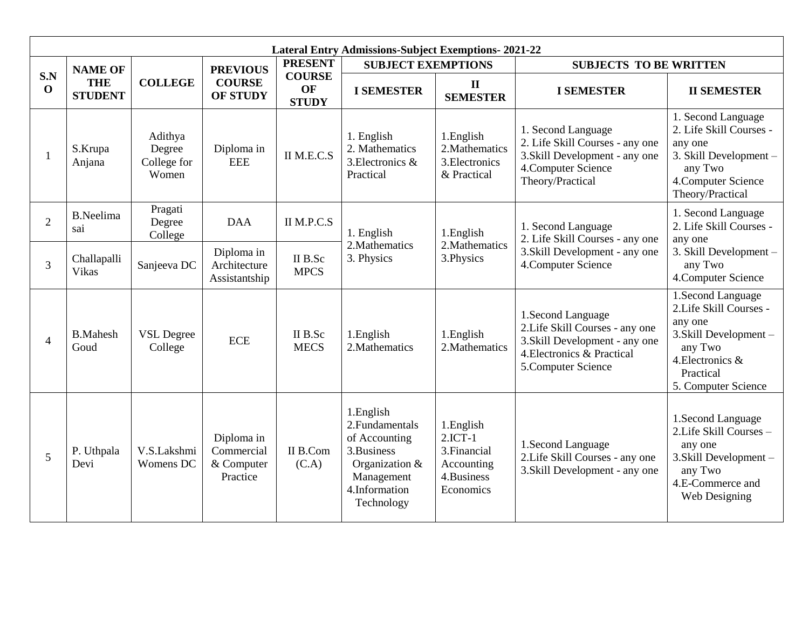| <b>Lateral Entry Admissions-Subject Exemptions-2021-22</b> |                                                |                                           |                                                     |                                                       |                                                                                                                            |                                                                                  |                                                                                                                                            |                                                                                                                                                     |
|------------------------------------------------------------|------------------------------------------------|-------------------------------------------|-----------------------------------------------------|-------------------------------------------------------|----------------------------------------------------------------------------------------------------------------------------|----------------------------------------------------------------------------------|--------------------------------------------------------------------------------------------------------------------------------------------|-----------------------------------------------------------------------------------------------------------------------------------------------------|
|                                                            | <b>NAME OF</b><br><b>THE</b><br><b>STUDENT</b> | <b>COLLEGE</b>                            | <b>PREVIOUS</b><br><b>COURSE</b><br><b>OF STUDY</b> | <b>PRESENT</b><br><b>COURSE</b><br>OF<br><b>STUDY</b> | <b>SUBJECT EXEMPTIONS</b>                                                                                                  |                                                                                  | <b>SUBJECTS TO BE WRITTEN</b>                                                                                                              |                                                                                                                                                     |
| S.N<br>$\mathbf 0$                                         |                                                |                                           |                                                     |                                                       | <b>I SEMESTER</b>                                                                                                          | $\mathbf{I}$<br><b>SEMESTER</b>                                                  | <b>I SEMESTER</b>                                                                                                                          | <b>II SEMESTER</b>                                                                                                                                  |
|                                                            | S.Krupa<br>Anjana                              | Adithya<br>Degree<br>College for<br>Women | Diploma in<br><b>EEE</b>                            | II M.E.C.S                                            | 1. English<br>2. Mathematics<br>3. Electronics &<br>Practical                                                              | 1. English<br>2. Mathematics<br>3. Electronics<br>& Practical                    | 1. Second Language<br>2. Life Skill Courses - any one<br>3. Skill Development - any one<br>4. Computer Science<br>Theory/Practical         | 1. Second Language<br>2. Life Skill Courses -<br>any one<br>3. Skill Development -<br>any Two<br>4. Computer Science<br>Theory/Practical            |
| $\overline{2}$                                             | <b>B.Neelima</b><br>sai                        | Pragati<br>Degree<br>College              | <b>DAA</b>                                          | II M.P.C.S                                            | 1. English<br>2. Mathematics<br>3. Physics                                                                                 | 1.English<br>2. Mathematics<br>3. Physics                                        | 1. Second Language<br>2. Life Skill Courses - any one<br>3. Skill Development - any one<br>4. Computer Science                             | 1. Second Language<br>2. Life Skill Courses -<br>any one<br>3. Skill Development -<br>any Two<br>4. Computer Science                                |
| 3                                                          | Challapalli<br><b>Vikas</b>                    | Sanjeeva DC                               | Diploma in<br>Architecture<br>Assistantship         | II B.Sc<br><b>MPCS</b>                                |                                                                                                                            |                                                                                  |                                                                                                                                            |                                                                                                                                                     |
| $\overline{4}$                                             | <b>B.Mahesh</b><br>Goud                        | <b>VSL Degree</b><br>College              | <b>ECE</b>                                          | II B.Sc<br><b>MECS</b>                                | 1.English<br>2. Mathematics                                                                                                | 1.English<br>2. Mathematics                                                      | 1.Second Language<br>2. Life Skill Courses - any one<br>3. Skill Development - any one<br>4. Electronics & Practical<br>5.Computer Science | 1.Second Language<br>2.Life Skill Courses -<br>any one<br>3. Skill Development -<br>any Two<br>4. Electronics &<br>Practical<br>5. Computer Science |
| 5                                                          | P. Uthpala<br>Devi                             | V.S.Lakshmi<br>Womens DC                  | Diploma in<br>Commercial<br>& Computer<br>Practice  | II B.Com<br>(C.A)                                     | 1.English<br>2. Fundamentals<br>of Accounting<br>3.Business<br>Organization &<br>Management<br>4.Information<br>Technology | 1.English<br>$2.$ ICT-1<br>3. Financial<br>Accounting<br>4.Business<br>Economics | 1.Second Language<br>2. Life Skill Courses - any one<br>3. Skill Development - any one                                                     | 1. Second Language<br>2. Life Skill Courses -<br>any one<br>3. Skill Development -<br>any Two<br>4.E-Commerce and<br>Web Designing                  |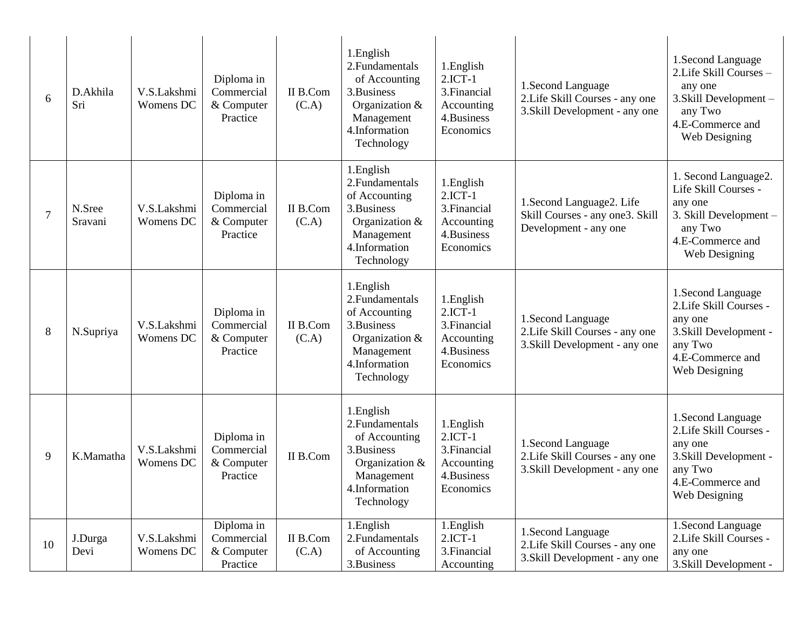| 6              | D.Akhila<br>Sri   | V.S.Lakshmi<br>Womens DC | Diploma in<br>Commercial<br>& Computer<br>Practice | II B.Com<br>(C.A) | 1.English<br>2. Fundamentals<br>of Accounting<br>3.Business<br>Organization &<br>Management<br>4.Information<br>Technology  | 1.English<br>$2.$ ICT-1<br>3. Financial<br>Accounting<br>4.Business<br>Economics | 1.Second Language<br>2. Life Skill Courses - any one<br>3. Skill Development - any one | 1.Second Language<br>2. Life Skill Courses -<br>any one<br>3. Skill Development -<br>any Two<br>4.E-Commerce and<br>Web Designing |
|----------------|-------------------|--------------------------|----------------------------------------------------|-------------------|-----------------------------------------------------------------------------------------------------------------------------|----------------------------------------------------------------------------------|----------------------------------------------------------------------------------------|-----------------------------------------------------------------------------------------------------------------------------------|
| $\overline{7}$ | N.Sree<br>Sravani | V.S.Lakshmi<br>Womens DC | Diploma in<br>Commercial<br>& Computer<br>Practice | II B.Com<br>(C.A) | 1.English<br>2. Fundamentals<br>of Accounting<br>3.Business<br>Organization &<br>Management<br>4.Information<br>Technology  | 1.English<br>$2.$ ICT-1<br>3. Financial<br>Accounting<br>4.Business<br>Economics | 1.Second Language2. Life<br>Skill Courses - any one3. Skill<br>Development - any one   | 1. Second Language2.<br>Life Skill Courses -<br>any one<br>3. Skill Development -<br>any Two<br>4.E-Commerce and<br>Web Designing |
| $8\,$          | N.Supriya         | V.S.Lakshmi<br>Womens DC | Diploma in<br>Commercial<br>& Computer<br>Practice | II B.Com<br>(C.A) | 1.English<br>2. Fundamentals<br>of Accounting<br>3. Business<br>Organization &<br>Management<br>4.Information<br>Technology | 1.English<br>$2.1CT-1$<br>3. Financial<br>Accounting<br>4.Business<br>Economics  | 1.Second Language<br>2. Life Skill Courses - any one<br>3. Skill Development - any one | 1.Second Language<br>2. Life Skill Courses -<br>any one<br>3. Skill Development -<br>any Two<br>4.E-Commerce and<br>Web Designing |
| 9              | K.Mamatha         | V.S.Lakshmi<br>Womens DC | Diploma in<br>Commercial<br>& Computer<br>Practice | II B.Com          | 1.English<br>2. Fundamentals<br>of Accounting<br>3.Business<br>Organization &<br>Management<br>4.Information<br>Technology  | 1.English<br>$2.$ ICT-1<br>3. Financial<br>Accounting<br>4.Business<br>Economics | 1.Second Language<br>2. Life Skill Courses - any one<br>3. Skill Development - any one | 1.Second Language<br>2. Life Skill Courses -<br>any one<br>3. Skill Development -<br>any Two<br>4.E-Commerce and<br>Web Designing |
| 10             | J.Durga<br>Devi   | V.S.Lakshmi<br>Womens DC | Diploma in<br>Commercial<br>& Computer<br>Practice | II B.Com<br>(C.A) | 1.English<br>2. Fundamentals<br>of Accounting<br>3.Business                                                                 | 1.English<br>$2.1CT-1$<br>3. Financial<br>Accounting                             | 1.Second Language<br>2. Life Skill Courses - any one<br>3. Skill Development - any one | 1.Second Language<br>2. Life Skill Courses -<br>any one<br>3. Skill Development -                                                 |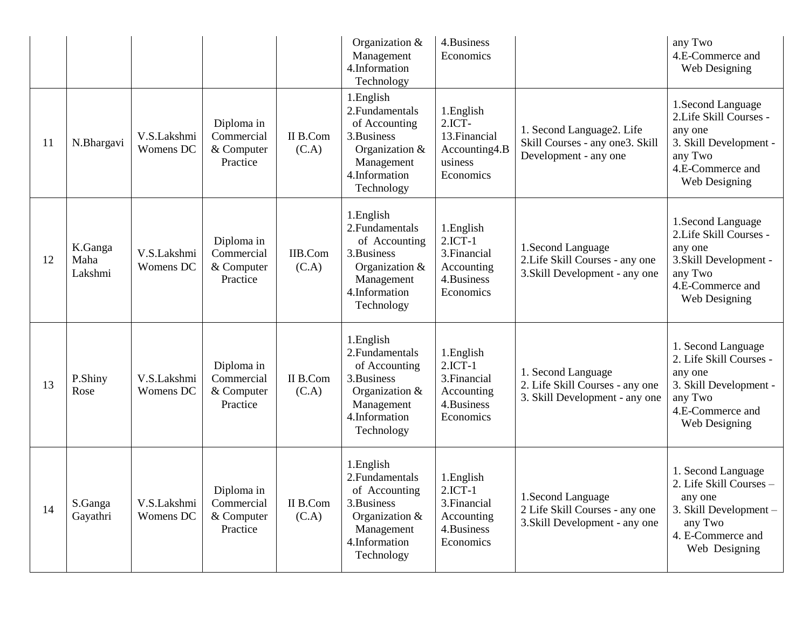|    |                            |                          |                                                    |                   | Organization &<br>Management<br>4.Information<br>Technology                                                                   | 4.Business<br>Economics                                                          |                                                                                         | any Two<br>4.E-Commerce and<br>Web Designing                                                                                        |
|----|----------------------------|--------------------------|----------------------------------------------------|-------------------|-------------------------------------------------------------------------------------------------------------------------------|----------------------------------------------------------------------------------|-----------------------------------------------------------------------------------------|-------------------------------------------------------------------------------------------------------------------------------------|
| 11 | N.Bhargavi                 | V.S.Lakshmi<br>Womens DC | Diploma in<br>Commercial<br>& Computer<br>Practice | II B.Com<br>(C.A) | 1.English<br>2. Fundamentals<br>of Accounting<br>3. Business<br>Organization $&$<br>Management<br>4.Information<br>Technology | 1. English<br>$2.1CT-$<br>13. Financial<br>Accounting4.B<br>usiness<br>Economics | 1. Second Language2. Life<br>Skill Courses - any one3. Skill<br>Development - any one   | 1.Second Language<br>2. Life Skill Courses -<br>any one<br>3. Skill Development -<br>any Two<br>4.E-Commerce and<br>Web Designing   |
| 12 | K.Ganga<br>Maha<br>Lakshmi | V.S.Lakshmi<br>Womens DC | Diploma in<br>Commercial<br>& Computer<br>Practice | IIB.Com<br>(C.A)  | 1.English<br>2. Fundamentals<br>of Accounting<br>3. Business<br>Organization &<br>Management<br>4.Information<br>Technology   | 1.English<br>$2.1CT-1$<br>3. Financial<br>Accounting<br>4.Business<br>Economics  | 1.Second Language<br>2. Life Skill Courses - any one<br>3. Skill Development - any one  | 1.Second Language<br>2. Life Skill Courses -<br>any one<br>3. Skill Development -<br>any Two<br>4.E-Commerce and<br>Web Designing   |
| 13 | P.Shiny<br>Rose            | V.S.Lakshmi<br>Womens DC | Diploma in<br>Commercial<br>& Computer<br>Practice | II B.Com<br>(C.A) | 1.English<br>2. Fundamentals<br>of Accounting<br>3. Business<br>Organization &<br>Management<br>4.Information<br>Technology   | 1.English<br>$2.$ ICT-1<br>3. Financial<br>Accounting<br>4.Business<br>Economics | 1. Second Language<br>2. Life Skill Courses - any one<br>3. Skill Development - any one | 1. Second Language<br>2. Life Skill Courses -<br>any one<br>3. Skill Development -<br>any Two<br>4.E-Commerce and<br>Web Designing  |
| 14 | S.Ganga<br>Gayathri        | V.S.Lakshmi<br>Womens DC | Diploma in<br>Commercial<br>& Computer<br>Practice | II B.Com<br>(C.A) | 1. English<br>2. Fundamentals<br>of Accounting<br>3. Business<br>Organization &<br>Management<br>4.Information<br>Technology  | 1.English<br>$2.1CT-1$<br>3. Financial<br>Accounting<br>4.Business<br>Economics  | 1. Second Language<br>2 Life Skill Courses - any one<br>3. Skill Development - any one  | 1. Second Language<br>2. Life Skill Courses -<br>any one<br>3. Skill Development -<br>any Two<br>4. E-Commerce and<br>Web Designing |